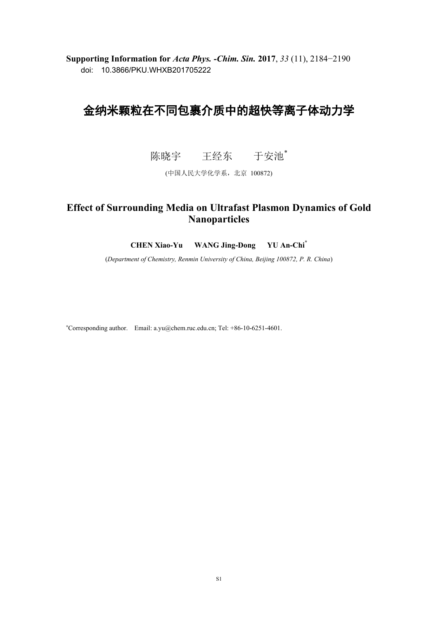**Supporting Information for** *Acta Phys. -Chim. Sin.* **2017**, *33* (11), 2184−2190 doi: 10.3866/PKU.WHXB201705222

# 金纳米颗粒在不同包裹介质中的超快等离子体动力学

陈晓宇 王经东 于安池\*

(中国人民大学化学系,北京 100872)

## **Effect of Surrounding Media on Ultrafast Plasmon Dynamics of Gold Nanoparticles**

**CHEN Xiao-Yu WANG Jing-Dong YU An-Chi\***

(*Department of Chemistry, Renmin University of China, Beijing 100872, P. R. China*)

<sup>∗</sup>Corresponding author. Email: a.yu@chem.ruc.edu.cn; Tel: +86-10-6251-4601.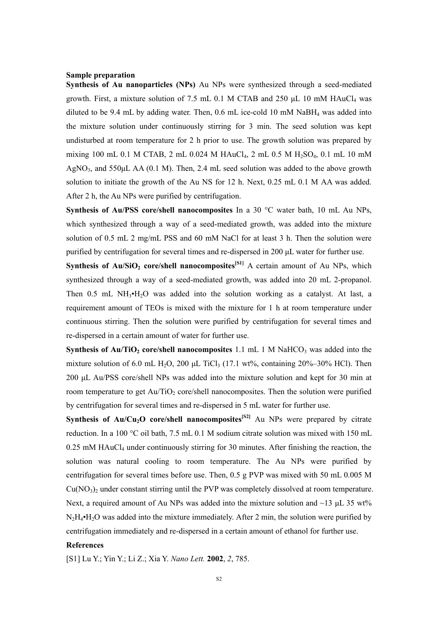#### **Sample preparation**

**Synthesis of Au nanoparticles (NPs)** Au NPs were synthesized through a seed-mediated growth. First, a mixture solution of 7.5 mL 0.1 M CTAB and 250  $\mu$ L 10 mM HAuCl<sub>4</sub> was diluted to be 9.4 mL by adding water. Then, 0.6 mL ice-cold 10 mM NaBH<sup>4</sup> was added into the mixture solution under continuously stirring for 3 min. The seed solution was kept undisturbed at room temperature for 2 h prior to use. The growth solution was prepared by mixing 100 mL 0.1 M CTAB, 2 mL 0.024 M HAuCl<sub>4</sub>, 2 mL 0.5 M H<sub>2</sub>SO<sub>4</sub>, 0.1 mL 10 mM AgNO<sub>3</sub>, and  $550\mu$ L AA (0.1 M). Then, 2.4 mL seed solution was added to the above growth solution to initiate the growth of the Au NS for 12 h. Next, 0.25 mL 0.1 M AA was added. After 2 h, the Au NPs were purified by centrifugation.

**Synthesis of Au/PSS core/shell nanocomposites** In a 30 °C water bath, 10 mL Au NPs, which synthesized through a way of a seed-mediated growth, was added into the mixture solution of 0.5 mL 2 mg/mL PSS and 60 mM NaCl for at least 3 h. Then the solution were purified by centrifugation for several times and re-dispersed in 200 μL water for further use.

**Synthesis of Au/SiO<sub>2</sub> core/shell nanocomposites<sup>[S1]</sup> A certain amount of Au NPs, which** synthesized through a way of a seed-mediated growth, was added into 20 mL 2-propanol. Then  $0.5$  mL NH<sub>3</sub> $\cdot$ H<sub>2</sub>O was added into the solution working as a catalyst. At last, a requirement amount of TEOs is mixed with the mixture for 1 h at room temperature under continuous stirring. Then the solution were purified by centrifugation for several times and re-dispersed in a certain amount of water for further use.

**Synthesis of Au/TiO<sub>2</sub> core/shell nanocomposites** 1.1 mL 1 M NaHCO<sub>3</sub> was added into the mixture solution of 6.0 mL H<sub>2</sub>O, 200  $\mu$ L TiCl<sub>3</sub> (17.1 wt%, containing 20%–30% HCl). Then 200 μL Au/PSS core/shell NPs was added into the mixture solution and kept for 30 min at room temperature to get  $Au/TiO<sub>2</sub>$  core/shell nanocomposites. Then the solution were purified by centrifugation for several times and re-dispersed in 5 mL water for further use.

**Synthesis of Au/Cu<sub>2</sub>O core/shell nanocomposites<sup>[S2]</sup> Au NPs were prepared by citrate** reduction. In a 100 °C oil bath, 7.5 mL 0.1 M sodium citrate solution was mixed with 150 mL  $0.25$  mM HAuCl<sub>4</sub> under continuously stirring for 30 minutes. After finishing the reaction, the solution was natural cooling to room temperature. The Au NPs were purified by centrifugation for several times before use. Then, 0.5 g PVP was mixed with 50 mL 0.005 M  $Cu(NO<sub>3</sub>)<sub>2</sub>$  under constant stirring until the PVP was completely dissolved at room temperature. Next, a required amount of Au NPs was added into the mixture solution and  $\sim$ 13  $\mu$ L 35 wt%  $N_2H_4\cdot H_2O$  was added into the mixture immediately. After 2 min, the solution were purified by centrifugation immediately and re-dispersed in a certain amount of ethanol for further use.

### **References**

[S1] Lu Y.; Yin Y.; Li Z.; Xia Y. *Nano Lett.* **2002**, *2*, 785.